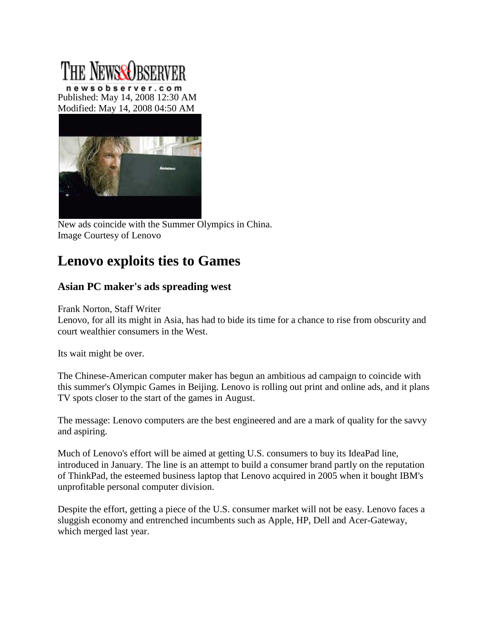## The NewseOrserver

newsobserver.com Published: May 14, 2008 12:30 AM Modified: May 14, 2008 04:50 AM



New ads coincide with the Summer Olympics in China. Image Courtesy of Lenovo

## **Lenovo exploits ties to Games**

## **Asian PC maker's ads spreading west**

Frank Norton, Staff Writer

Lenovo, for all its might in Asia, has had to bide its time for a chance to rise from obscurity and court wealthier consumers in the West.

Its wait might be over.

The Chinese-American computer maker has begun an ambitious ad campaign to coincide with this summer's Olympic Games in Beijing. Lenovo is rolling out print and online ads, and it plans TV spots closer to the start of the games in August.

The message: Lenovo computers are the best engineered and are a mark of quality for the savvy and aspiring.

Much of Lenovo's effort will be aimed at getting U.S. consumers to buy its IdeaPad line, introduced in January. The line is an attempt to build a consumer brand partly on the reputation of ThinkPad, the esteemed business laptop that Lenovo acquired in 2005 when it bought IBM's unprofitable personal computer division.

Despite the effort, getting a piece of the U.S. consumer market will not be easy. Lenovo faces a sluggish economy and entrenched incumbents such as Apple, HP, Dell and Acer-Gateway, which merged last year.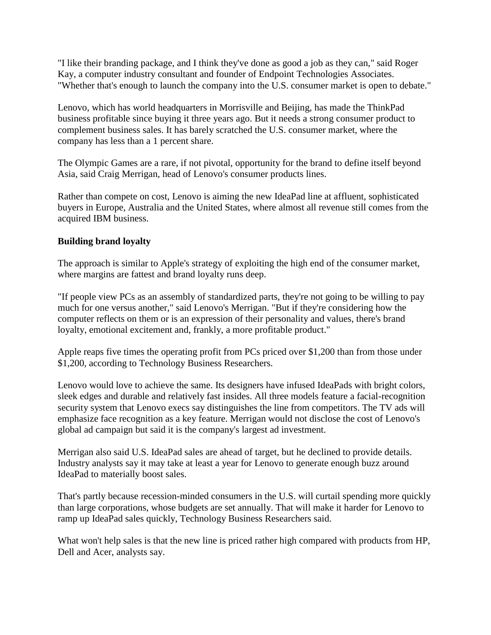"I like their branding package, and I think they've done as good a job as they can," said Roger Kay, a computer industry consultant and founder of Endpoint Technologies Associates. "Whether that's enough to launch the company into the U.S. consumer market is open to debate."

Lenovo, which has world headquarters in Morrisville and Beijing, has made the ThinkPad business profitable since buying it three years ago. But it needs a strong consumer product to complement business sales. It has barely scratched the U.S. consumer market, where the company has less than a 1 percent share.

The Olympic Games are a rare, if not pivotal, opportunity for the brand to define itself beyond Asia, said Craig Merrigan, head of Lenovo's consumer products lines.

Rather than compete on cost, Lenovo is aiming the new IdeaPad line at affluent, sophisticated buyers in Europe, Australia and the United States, where almost all revenue still comes from the acquired IBM business.

## **Building brand loyalty**

The approach is similar to Apple's strategy of exploiting the high end of the consumer market, where margins are fattest and brand loyalty runs deep.

"If people view PCs as an assembly of standardized parts, they're not going to be willing to pay much for one versus another," said Lenovo's Merrigan. "But if they're considering how the computer reflects on them or is an expression of their personality and values, there's brand loyalty, emotional excitement and, frankly, a more profitable product."

Apple reaps five times the operating profit from PCs priced over \$1,200 than from those under \$1,200, according to Technology Business Researchers.

Lenovo would love to achieve the same. Its designers have infused IdeaPads with bright colors, sleek edges and durable and relatively fast insides. All three models feature a facial-recognition security system that Lenovo execs say distinguishes the line from competitors. The TV ads will emphasize face recognition as a key feature. Merrigan would not disclose the cost of Lenovo's global ad campaign but said it is the company's largest ad investment.

Merrigan also said U.S. IdeaPad sales are ahead of target, but he declined to provide details. Industry analysts say it may take at least a year for Lenovo to generate enough buzz around IdeaPad to materially boost sales.

That's partly because recession-minded consumers in the U.S. will curtail spending more quickly than large corporations, whose budgets are set annually. That will make it harder for Lenovo to ramp up IdeaPad sales quickly, Technology Business Researchers said.

What won't help sales is that the new line is priced rather high compared with products from HP, Dell and Acer, analysts say.